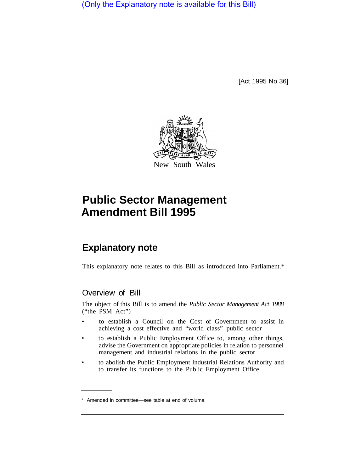(Only the Explanatory note is available for this Bill)

[Act 1995 No 36]



# **Public Sector Management Amendment Bill 1995**

## **Explanatory note**

This explanatory note relates to this Bill as introduced into Parliament.\*

## Overview of Bill

The object of this Bill is to amend the *Public Sector Management Act 1988*  ("the PSM Act")

- to establish a Council on the Cost of Government to assist in achieving a cost effective and "world class" public sector
- to establish a Public Employment Office to, among other things, advise the Government on appropriate policies in relation to personnel management and industrial relations in the public sector
- to abolish the Public Employment Industrial Relations Authority and to transfer its functions to the Public Employment Office

<sup>\*</sup> Amended in committee—see table at end of volume.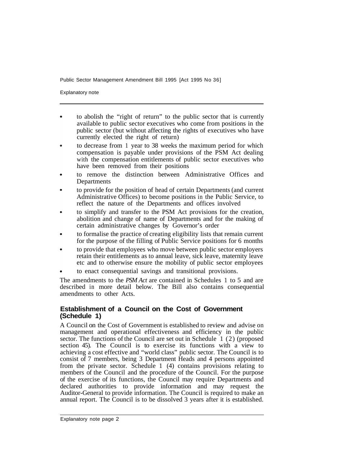Explanatory note

- to abolish the "right of return" to the public sector that is currently available to public sector executives who come from positions in the public sector (but without affecting the rights of executives who have currently elected the right of return)
- to decrease from 1 year to 38 weeks the maximum period for which compensation is payable under provisions of the PSM Act dealing with the compensation entitlements of public sector executives who have been removed from their positions
- to remove the distinction between Administrative Offices and **Departments**
- to provide for the position of head of certain Departments (and current Administrative Offices) to become positions in the Public Service, to reflect the nature of the Departments and offices involved
- to simplify and transfer to the PSM Act provisions for the creation, abolition and change of name of Departments and for the making of certain administrative changes by Governor's order
- to formalise the practice of creating eligibility lists that remain current for the purpose of the filling of Public Service positions for 6 months
- to provide that employees who move between public sector employers retain their entitlements as to annual leave, sick leave, maternity leave etc and to otherwise ensure the mobility of public sector employees
- to enact consequential savings and transitional provisions.

The amendments to the *PSM Act* are contained in Schedules 1 to 5 and are described in more detail below. The Bill also contains consequential amendments to other Acts.

#### **Establishment of a Council on the Cost of Government (Schedule 1)**

A Council on the Cost of Government is established to review and advise on management and operational effectiveness and efficiency in the public sector. The functions of the Council are set out in Schedule 1 (2) (proposed section 45). The Council is to exercise its functions with a view to achieving a cost effective and "world class" public sector. The Council is to consist of 7 members, being 3 Department Heads and 4 persons appointed from the private sector. Schedule 1 (4) contains provisions relating to members of the Council and the procedure of the Council. For the purpose of the exercise of its functions, the Council may require Departments and declared authorities to provide information and may request the Auditor-General to provide information. The Council is required to make an annual report. The Council is to be dissolved 3 years after it is established.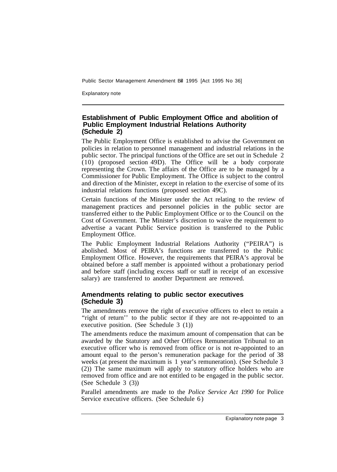Explanatory note

#### **Establishment of Public Employment Office and abolition of Public Employment Industrial Relations Authority (Schedule 2)**

The Public Employment Office is established to advise the Government on policies in relation to personnel management and industrial relations in the public sector. The principal functions of the Office are set out in Schedule 2 (10) (proposed section 49D). The Office will be a body corporate representing the Crown. The affairs of the Office are to be managed by a Commissioner for Public Employment. The Office is subject to the control and direction of the Minister, except in relation to the exercise of some of its industrial relations functions (proposed section 49C).

Certain functions of the Minister under the Act relating to the review of management practices and personnel policies in the public sector are transferred either to the Public Employment Office or to the Council on the Cost of Government. The Minister's discretion to waive the requirement to advertise a vacant Public Service position is transferred to the Public Employment Office.

The Public Employment Industrial Relations Authority ("PEIRA") is abolished. Most of PEIRA's functions are transferred to the Public Employment Office. However, the requirements that PEIRA's approval be obtained before a staff member is appointed without a probationary period and before staff (including excess staff or staff in receipt of an excessive salary) are transferred to another Department are removed.

#### **Amendments relating to public sector executives (Schedule 3)**

The amendments remove the right of executive officers to elect to retain a "right of return" to the public sector if they are not re-appointed to an executive position. (See Schedule 3 (1))

The amendments reduce the maximum amount of compensation that can be awarded by the Statutory and Other Offices Remuneration Tribunal to an executive officer who is removed from office or is not re-appointed to an amount equal to the person's remuneration package for the period of 38 weeks (at present the maximum is 1 year's remuneration). (See Schedule 3 (2)) The same maximum will apply to statutory office holders who are removed from office and are not entitled to be engaged in the public sector. (See Schedule 3 (3))

Parallel amendments are made to the *Police Service Act 1990* for Police Service executive officers. (See Schedule 6)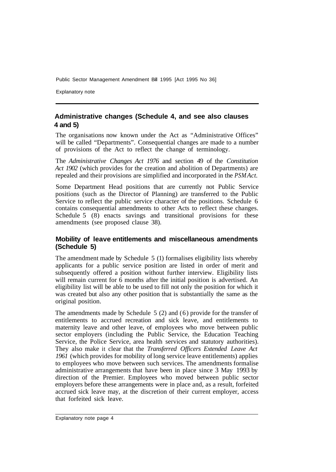Explanatory note

## **Administrative changes (Schedule 4, and see also clauses 4 and 5)**

The organisations now known under the Act as "Administrative Offices" will be called "Departments". Consequential changes are made to a number of provisions of the Act to reflect the change of terminology.

The *Administrative Changes Act 1976* and section 49 of the *Constitution Act 1902* (which provides for the creation and abolition of Departments) are repealed and their provisions are simplified and incorporated in the *PSM Act.* 

Some Department Head positions that are currently not Public Service positions (such as the Director of Planning) are transferred to the Public Service to reflect the public service character of the positions. Schedule 6 contains consequential amendments to other Acts to reflect these changes. Schedule 5 (8) enacts savings and transitional provisions for these amendments (see proposed clause 38).

#### **Mobility of leave entitlements and miscellaneous amendments (Schedule 5)**

The amendment made by Schedule 5 (1) formalises eligibility lists whereby applicants for a public service position are listed in order of merit and subsequently offered a position without further interview. Eligibility lists will remain current for 6 months after the initial position is advertised. An eligibility list will be able to be used to fill not only the position for which it was created but also any other position that is substantially the same as the original position.

The amendments made by Schedule 5 (2) and (6) provide for the transfer of entitlements to accrued recreation and sick leave, and entitlements to maternity leave and other leave, of employees who move between public sector employers (including the Public Service, the Education Teaching Service, the Police Service, area health services and statutory authorities). They also make it clear that the *Transferred Officers Extended Leave Act 1961* (which provides for mobility of long service leave entitlements) applies to employees who move between such services. The amendments formalise administrative arrangements that have been in place since 3 May 1993 by direction of the Premier. Employees who moved between public sector employers before these arrangements were in place and, as a result, forfeited accrued sick leave may, at the discretion of their current employer, access that forfeited sick leave.